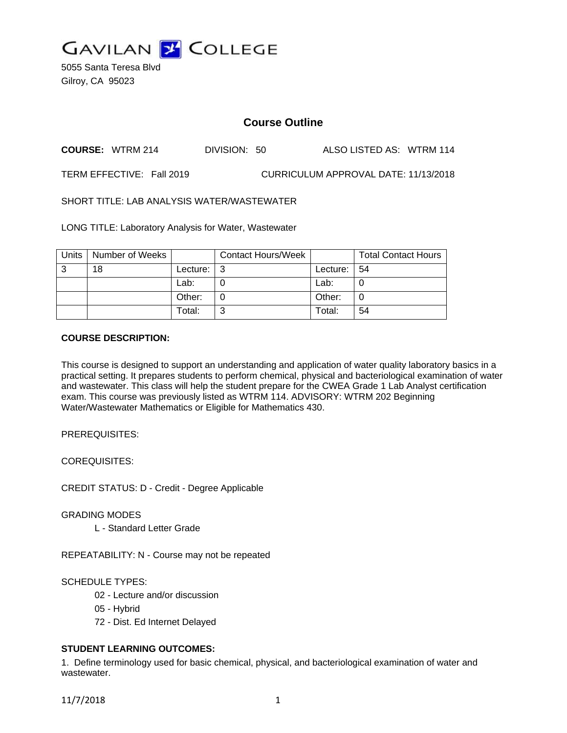

5055 Santa Teresa Blvd Gilroy, CA 95023

# **Course Outline**

**COURSE:** WTRM 214 DIVISION: 50 ALSO LISTED AS: WTRM 114

TERM EFFECTIVE: Fall 2019 CURRICULUM APPROVAL DATE: 11/13/2018

SHORT TITLE: LAB ANALYSIS WATER/WASTEWATER

LONG TITLE: Laboratory Analysis for Water, Wastewater

| <b>Units</b> | Number of Weeks |          | <b>Contact Hours/Week</b> |          | <b>Total Contact Hours</b> |
|--------------|-----------------|----------|---------------------------|----------|----------------------------|
| 3            | 18              | Lecture: | l 3                       | Lecture: | -54                        |
|              |                 | Lab:     |                           | Lab:     |                            |
|              |                 | Other:   |                           | Other:   |                            |
|              |                 | Total:   | ົ                         | Total:   | 54                         |

### **COURSE DESCRIPTION:**

This course is designed to support an understanding and application of water quality laboratory basics in a practical setting. It prepares students to perform chemical, physical and bacteriological examination of water and wastewater. This class will help the student prepare for the CWEA Grade 1 Lab Analyst certification exam. This course was previously listed as WTRM 114. ADVISORY: WTRM 202 Beginning Water/Wastewater Mathematics or Eligible for Mathematics 430.

PREREQUISITES:

COREQUISITES:

CREDIT STATUS: D - Credit - Degree Applicable

GRADING MODES

L - Standard Letter Grade

REPEATABILITY: N - Course may not be repeated

SCHEDULE TYPES:

- 02 Lecture and/or discussion
- 05 Hybrid
- 72 Dist. Ed Internet Delayed

# **STUDENT LEARNING OUTCOMES:**

1. Define terminology used for basic chemical, physical, and bacteriological examination of water and wastewater.

11/7/2018 1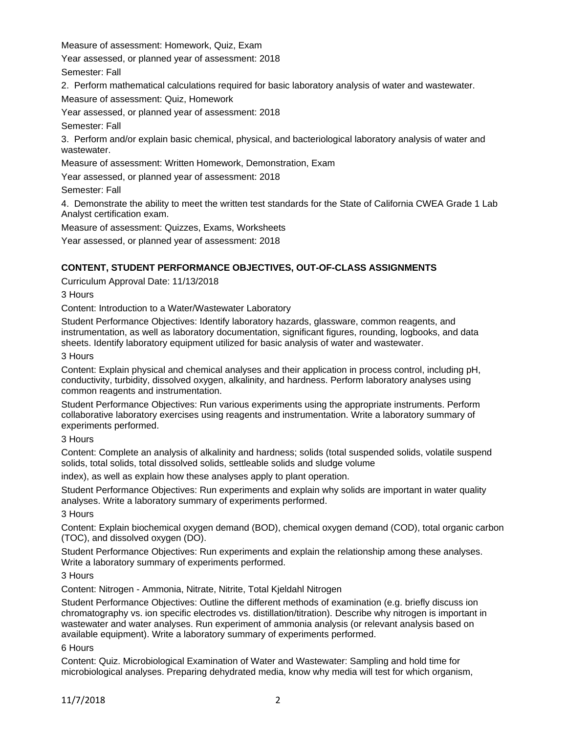Measure of assessment: Homework, Quiz, Exam

Year assessed, or planned year of assessment: 2018

Semester: Fall

2. Perform mathematical calculations required for basic laboratory analysis of water and wastewater.

Measure of assessment: Quiz, Homework

Year assessed, or planned year of assessment: 2018

Semester: Fall

3. Perform and/or explain basic chemical, physical, and bacteriological laboratory analysis of water and wastewater.

Measure of assessment: Written Homework, Demonstration, Exam

Year assessed, or planned year of assessment: 2018

Semester: Fall

4. Demonstrate the ability to meet the written test standards for the State of California CWEA Grade 1 Lab Analyst certification exam.

Measure of assessment: Quizzes, Exams, Worksheets

Year assessed, or planned year of assessment: 2018

# **CONTENT, STUDENT PERFORMANCE OBJECTIVES, OUT-OF-CLASS ASSIGNMENTS**

Curriculum Approval Date: 11/13/2018

3 Hours

Content: Introduction to a Water/Wastewater Laboratory

Student Performance Objectives: Identify laboratory hazards, glassware, common reagents, and instrumentation, as well as laboratory documentation, significant figures, rounding, logbooks, and data sheets. Identify laboratory equipment utilized for basic analysis of water and wastewater.

3 Hours

Content: Explain physical and chemical analyses and their application in process control, including pH, conductivity, turbidity, dissolved oxygen, alkalinity, and hardness. Perform laboratory analyses using common reagents and instrumentation.

Student Performance Objectives: Run various experiments using the appropriate instruments. Perform collaborative laboratory exercises using reagents and instrumentation. Write a laboratory summary of experiments performed.

3 Hours

Content: Complete an analysis of alkalinity and hardness; solids (total suspended solids, volatile suspend solids, total solids, total dissolved solids, settleable solids and sludge volume

index), as well as explain how these analyses apply to plant operation.

Student Performance Objectives: Run experiments and explain why solids are important in water quality analyses. Write a laboratory summary of experiments performed.

3 Hours

Content: Explain biochemical oxygen demand (BOD), chemical oxygen demand (COD), total organic carbon (TOC), and dissolved oxygen (DO).

Student Performance Objectives: Run experiments and explain the relationship among these analyses. Write a laboratory summary of experiments performed.

3 Hours

Content: Nitrogen - Ammonia, Nitrate, Nitrite, Total Kjeldahl Nitrogen

Student Performance Objectives: Outline the different methods of examination (e.g. briefly discuss ion chromatography vs. ion specific electrodes vs. distillation/titration). Describe why nitrogen is important in wastewater and water analyses. Run experiment of ammonia analysis (or relevant analysis based on available equipment). Write a laboratory summary of experiments performed.

6 Hours

Content: Quiz. Microbiological Examination of Water and Wastewater: Sampling and hold time for microbiological analyses. Preparing dehydrated media, know why media will test for which organism,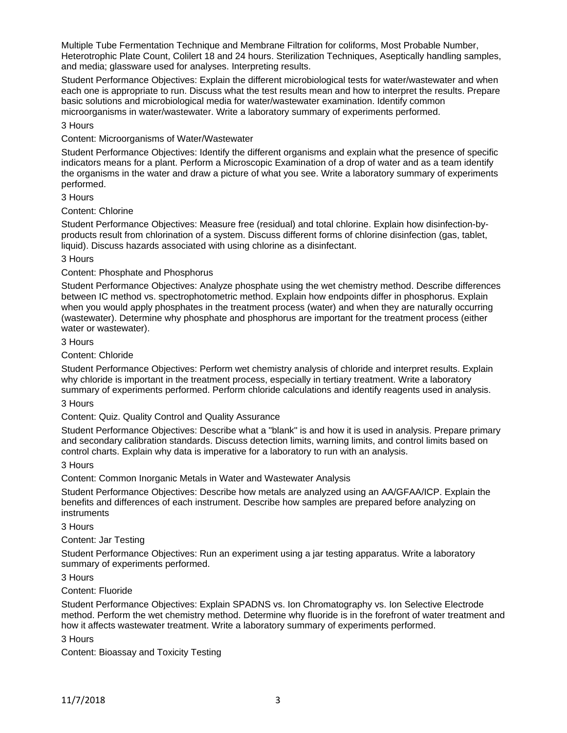Multiple Tube Fermentation Technique and Membrane Filtration for coliforms, Most Probable Number, Heterotrophic Plate Count, Colilert 18 and 24 hours. Sterilization Techniques, Aseptically handling samples, and media; glassware used for analyses. Interpreting results.

Student Performance Objectives: Explain the different microbiological tests for water/wastewater and when each one is appropriate to run. Discuss what the test results mean and how to interpret the results. Prepare basic solutions and microbiological media for water/wastewater examination. Identify common microorganisms in water/wastewater. Write a laboratory summary of experiments performed.

#### 3 Hours

## Content: Microorganisms of Water/Wastewater

Student Performance Objectives: Identify the different organisms and explain what the presence of specific indicators means for a plant. Perform a Microscopic Examination of a drop of water and as a team identify the organisms in the water and draw a picture of what you see. Write a laboratory summary of experiments performed.

### 3 Hours

# Content: Chlorine

Student Performance Objectives: Measure free (residual) and total chlorine. Explain how disinfection-byproducts result from chlorination of a system. Discuss different forms of chlorine disinfection (gas, tablet, liquid). Discuss hazards associated with using chlorine as a disinfectant.

### 3 Hours

### Content: Phosphate and Phosphorus

Student Performance Objectives: Analyze phosphate using the wet chemistry method. Describe differences between IC method vs. spectrophotometric method. Explain how endpoints differ in phosphorus. Explain when you would apply phosphates in the treatment process (water) and when they are naturally occurring (wastewater). Determine why phosphate and phosphorus are important for the treatment process (either water or wastewater).

#### 3 Hours

## Content: Chloride

Student Performance Objectives: Perform wet chemistry analysis of chloride and interpret results. Explain why chloride is important in the treatment process, especially in tertiary treatment. Write a laboratory summary of experiments performed. Perform chloride calculations and identify reagents used in analysis.

#### 3 Hours

#### Content: Quiz. Quality Control and Quality Assurance

Student Performance Objectives: Describe what a "blank" is and how it is used in analysis. Prepare primary and secondary calibration standards. Discuss detection limits, warning limits, and control limits based on control charts. Explain why data is imperative for a laboratory to run with an analysis.

#### 3 Hours

Content: Common Inorganic Metals in Water and Wastewater Analysis

Student Performance Objectives: Describe how metals are analyzed using an AA/GFAA/ICP. Explain the benefits and differences of each instrument. Describe how samples are prepared before analyzing on instruments

## 3 Hours

# Content: Jar Testing

Student Performance Objectives: Run an experiment using a jar testing apparatus. Write a laboratory summary of experiments performed.

#### 3 Hours

# Content: Fluoride

Student Performance Objectives: Explain SPADNS vs. Ion Chromatography vs. Ion Selective Electrode method. Perform the wet chemistry method. Determine why fluoride is in the forefront of water treatment and how it affects wastewater treatment. Write a laboratory summary of experiments performed.

## 3 Hours

Content: Bioassay and Toxicity Testing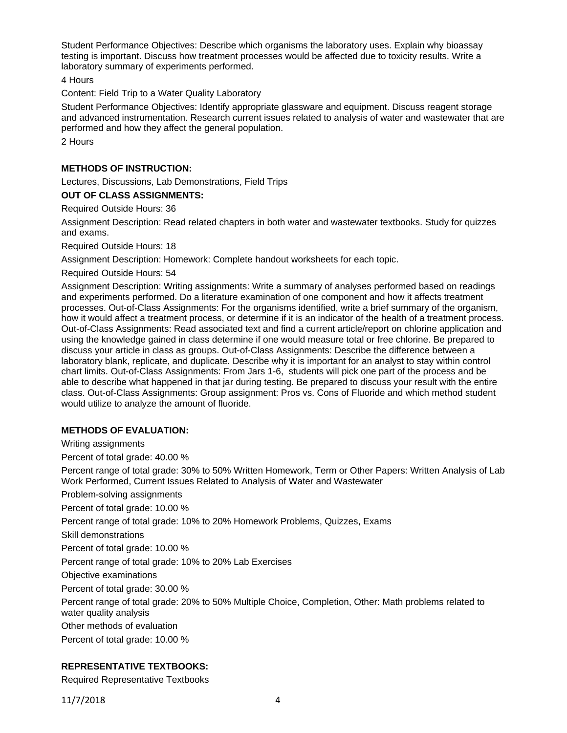Student Performance Objectives: Describe which organisms the laboratory uses. Explain why bioassay testing is important. Discuss how treatment processes would be affected due to toxicity results. Write a laboratory summary of experiments performed.

4 Hours

Content: Field Trip to a Water Quality Laboratory

Student Performance Objectives: Identify appropriate glassware and equipment. Discuss reagent storage and advanced instrumentation. Research current issues related to analysis of water and wastewater that are performed and how they affect the general population.

2 Hours

# **METHODS OF INSTRUCTION:**

Lectures, Discussions, Lab Demonstrations, Field Trips

**OUT OF CLASS ASSIGNMENTS:**

Required Outside Hours: 36

Assignment Description: Read related chapters in both water and wastewater textbooks. Study for quizzes and exams.

Required Outside Hours: 18

Assignment Description: Homework: Complete handout worksheets for each topic.

Required Outside Hours: 54

Assignment Description: Writing assignments: Write a summary of analyses performed based on readings and experiments performed. Do a literature examination of one component and how it affects treatment processes. Out-of-Class Assignments: For the organisms identified, write a brief summary of the organism, how it would affect a treatment process, or determine if it is an indicator of the health of a treatment process. Out-of-Class Assignments: Read associated text and find a current article/report on chlorine application and using the knowledge gained in class determine if one would measure total or free chlorine. Be prepared to discuss your article in class as groups. Out-of-Class Assignments: Describe the difference between a laboratory blank, replicate, and duplicate. Describe why it is important for an analyst to stay within control chart limits. Out-of-Class Assignments: From Jars 1-6, students will pick one part of the process and be able to describe what happened in that jar during testing. Be prepared to discuss your result with the entire class. Out-of-Class Assignments: Group assignment: Pros vs. Cons of Fluoride and which method student would utilize to analyze the amount of fluoride.

# **METHODS OF EVALUATION:**

Writing assignments

Percent of total grade: 40.00 %

Percent range of total grade: 30% to 50% Written Homework, Term or Other Papers: Written Analysis of Lab Work Performed, Current Issues Related to Analysis of Water and Wastewater

Problem-solving assignments

Percent of total grade: 10.00 %

Percent range of total grade: 10% to 20% Homework Problems, Quizzes, Exams

Skill demonstrations

Percent of total grade: 10.00 %

Percent range of total grade: 10% to 20% Lab Exercises

Objective examinations

Percent of total grade: 30.00 %

Percent range of total grade: 20% to 50% Multiple Choice, Completion, Other: Math problems related to water quality analysis

Other methods of evaluation

Percent of total grade: 10.00 %

# **REPRESENTATIVE TEXTBOOKS:**

Required Representative Textbooks